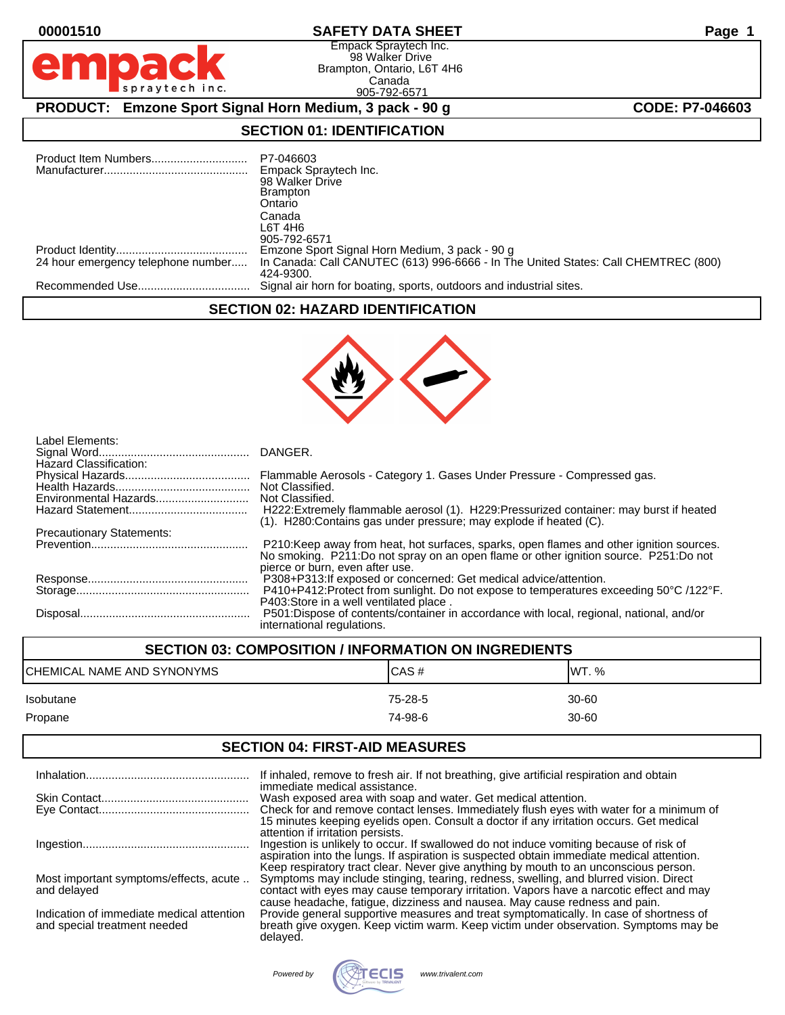### **00001510 SAFETY DATA SHEET Page 1**

Empack Spraytech Inc. 98 Walker Drive Brampton, Ontario, L6T 4H6 Canada 905-792-6571

**PRODUCT:** Emzone Sport Signal Horn Medium, 3 pack - 90 g **CODE: P7-046603** 

### **SECTION 01: IDENTIFICATION**

|                                    | P7-046603<br>Empack Spraytech Inc.<br>98 Walker Drive<br><b>Brampton</b><br>Ontario<br>Canada<br>L6T 4H6<br>905-792-6571 |
|------------------------------------|--------------------------------------------------------------------------------------------------------------------------|
|                                    | Emzone Sport Signal Horn Medium, 3 pack - 90 g                                                                           |
| 24 hour emergency telephone number | In Canada: Call CANUTEC (613) 996-6666 - In The United States: Call CHEMTREC (800)<br>424-9300.                          |
|                                    | Signal air horn for boating, sports, outdoors and industrial sites.                                                      |

### **SECTION 02: HAZARD IDENTIFICATION**



| Label Elements:<br><b>Hazard Classification:</b> |                                                                                                                                                                                                                     |
|--------------------------------------------------|---------------------------------------------------------------------------------------------------------------------------------------------------------------------------------------------------------------------|
|                                                  | Flammable Aerosols - Category 1. Gases Under Pressure - Compressed gas.                                                                                                                                             |
|                                                  | Not Classified.                                                                                                                                                                                                     |
| Environmental Hazards                            | Not Classified.                                                                                                                                                                                                     |
|                                                  | H222: Extremely flammable aerosol (1). H229: Pressurized container: may burst if heated<br>(1). H280: Contains gas under pressure; may explode if heated (C).                                                       |
| <b>Precautionary Statements:</b>                 |                                                                                                                                                                                                                     |
|                                                  | P210: Keep away from heat, hot surfaces, sparks, open flames and other ignition sources.<br>No smoking. P211:Do not spray on an open flame or other ignition source. P251:Do not<br>pierce or burn, even after use. |
|                                                  | P308+P313: If exposed or concerned: Get medical advice/attention.                                                                                                                                                   |
|                                                  | P410+P412:Protect from sunlight. Do not expose to temperatures exceeding 50°C /122°F.<br>P403:Store in a well ventilated place.                                                                                     |
|                                                  | P501:Dispose of contents/container in accordance with local, regional, national, and/or<br>international regulations.                                                                                               |

# **SECTION 03: COMPOSITION / INFORMATION ON INGREDIENTS** CHEMICAL NAME AND SYNONYMS CHEMICAS # CAS # WT. % Isobutane 75-28-5 30-60 Propane 74-98-6 30-60

### **SECTION 04: FIRST-AID MEASURES**

|                                                                           | If inhaled, remove to fresh air. If not breathing, give artificial respiration and obtain<br>immediate medical assistance.                                                                                                                                                                                                                             |
|---------------------------------------------------------------------------|--------------------------------------------------------------------------------------------------------------------------------------------------------------------------------------------------------------------------------------------------------------------------------------------------------------------------------------------------------|
|                                                                           | Wash exposed area with soap and water. Get medical attention.<br>Check for and remove contact lenses. Immediately flush eyes with water for a minimum of<br>15 minutes keeping eyelids open. Consult a doctor if any irritation occurs. Get medical                                                                                                    |
|                                                                           | attention if irritation persists.<br>Ingestion is unlikely to occur. If swallowed do not induce vomiting because of risk of<br>aspiration into the lungs. If aspiration is suspected obtain immediate medical attention.                                                                                                                               |
| Most important symptoms/effects, acute<br>and delayed                     | Keep respiratory tract clear. Never give anything by mouth to an unconscious person.<br>Symptoms may include stinging, tearing, redness, swelling, and blurred vision. Direct<br>contact with eyes may cause temporary irritation. Vapors have a narcotic effect and may<br>cause headache, fatigue, dizziness and nausea. May cause redness and pain. |
| Indication of immediate medical attention<br>and special treatment needed | Provide general supportive measures and treat symptomatically. In case of shortness of<br>breath give oxygen. Keep victim warm. Keep victim under observation. Symptoms may be<br>delayed.                                                                                                                                                             |
|                                                                           |                                                                                                                                                                                                                                                                                                                                                        |

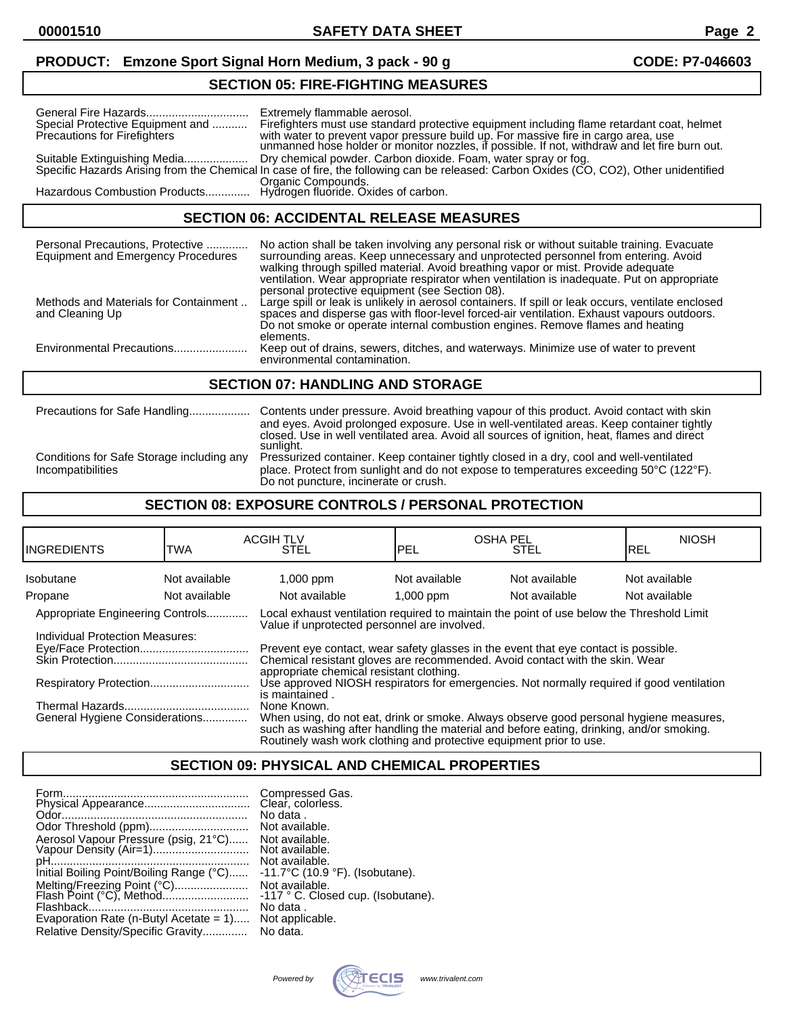# **PRODUCT:** Emzone Sport Signal Horn Medium, 3 pack - 90 g **CODE: P7-046603**

### **SECTION 05: FIRE-FIGHTING MEASURES**

| Special Protective Equipment and<br><b>Precautions for Firefighters</b>                   | Extremely flammable aerosol.<br>Firefighters must use standard protective equipment including flame retardant coat, helmet<br>with water to prevent vapor pressure build up. For massive fire in cargo area, use<br>unmanned hose holder or monitor nozzles, if possible. If not, withdraw and let fire burn out. |
|-------------------------------------------------------------------------------------------|-------------------------------------------------------------------------------------------------------------------------------------------------------------------------------------------------------------------------------------------------------------------------------------------------------------------|
| Suitable Extinguishing Media                                                              | Dry chemical powder. Carbon dioxide. Foam, water spray or fog.<br>Specific Hazards Arising from the Chemical In case of fire, the following can be released: Carbon Oxides (CO, CO2), Other unidentified                                                                                                          |
| Organic Compounds.<br>.Hazardous Combustion Products Hydrogen fluoride. Oxides of carbon. |                                                                                                                                                                                                                                                                                                                   |

### **SECTION 06: ACCIDENTAL RELEASE MEASURES**

| Personal Precautions, Protective<br><b>Equipment and Emergency Procedures</b> | No action shall be taken involving any personal risk or without suitable training. Evacuate<br>surrounding areas. Keep unnecessary and unprotected personnel from entering. Avoid<br>walking through spilled material. Avoid breathing vapor or mist. Provide adequate<br>ventilation. Wear appropriate respirator when ventilation is inadequate. Put on appropriate<br>personal protective equipment (see Section 08). |  |
|-------------------------------------------------------------------------------|--------------------------------------------------------------------------------------------------------------------------------------------------------------------------------------------------------------------------------------------------------------------------------------------------------------------------------------------------------------------------------------------------------------------------|--|
| Methods and Materials for Containment<br>and Cleaning Up                      | Large spill or leak is unlikely in aerosol containers. If spill or leak occurs, ventilate enclosed<br>spaces and disperse gas with floor-level forced-air ventilation. Exhaust vapours outdoors.<br>Do not smoke or operate internal combustion engines. Remove flames and heating<br>elements.                                                                                                                          |  |
| Environmental Precautions                                                     | Keep out of drains, sewers, ditches, and waterways. Minimize use of water to prevent<br>environmental contamination.                                                                                                                                                                                                                                                                                                     |  |
| <b>SECTION 07: HANDLING AND STORAGE</b>                                       |                                                                                                                                                                                                                                                                                                                                                                                                                          |  |
|                                                                               |                                                                                                                                                                                                                                                                                                                                                                                                                          |  |

|                                                                | and eyes. Avoid prolonged exposure. Use in well-ventilated areas. Keep container tightly<br>closed. Use in well ventilated area. Avoid all sources of ignition, heat, flames and direct<br>sunlight.                       |
|----------------------------------------------------------------|----------------------------------------------------------------------------------------------------------------------------------------------------------------------------------------------------------------------------|
| Conditions for Safe Storage including any<br>Incompatibilities | Pressurized container. Keep container tightly closed in a dry, cool and well-ventilated<br>place. Protect from sunlight and do not expose to temperatures exceeding 50°C (122°F).<br>Do not puncture, incinerate or crush. |

### **SECTION 08: EXPOSURE CONTROLS / PERSONAL PROTECTION**

| <b>I</b> INGREDIENTS                                                | <b>TWA</b>    | <b>ACGIH TLV</b><br><b>STEL</b>                                                                                                                                                                                                                                                                                                                              | <b>OSHA PEL</b><br><b>PEL</b> | <b>STEL</b>   | <b>NIOSH</b><br>IREL |
|---------------------------------------------------------------------|---------------|--------------------------------------------------------------------------------------------------------------------------------------------------------------------------------------------------------------------------------------------------------------------------------------------------------------------------------------------------------------|-------------------------------|---------------|----------------------|
| Isobutane                                                           | Not available | $1,000$ ppm                                                                                                                                                                                                                                                                                                                                                  | Not available                 | Not available | Not available        |
| Propane                                                             | Not available | Not available                                                                                                                                                                                                                                                                                                                                                | $1,000$ ppm                   | Not available | Not available        |
| Appropriate Engineering Controls<br>Individual Protection Measures: |               | Local exhaust ventilation required to maintain the point of use below the Threshold Limit<br>Value if unprotected personnel are involved.<br>Prevent eye contact, wear safety glasses in the event that eye contact is possible.<br>Chemical resistant gloves are recommended. Avoid contact with the skin. Wear<br>appropriate chemical resistant clothing. |                               |               |                      |
|                                                                     |               | Use approved NIOSH respirators for emergencies. Not normally required if good ventilation<br>is maintained.                                                                                                                                                                                                                                                  |                               |               |                      |
| General Hygiene Considerations                                      |               | None Known.<br>When using, do not eat, drink or smoke. Always observe good personal hygiene measures,<br>such as washing after handling the material and before eating, drinking, and/or smoking.<br>Routinely wash work clothing and protective equipment prior to use.                                                                                     |                               |               |                      |

## **SECTION 09: PHYSICAL AND CHEMICAL PROPERTIES**

| Form.<br>Aerosol Vapour Pressure (psig, 21°C)<br>Initial Boiling Point/Boiling Range (°C)<br>Melting/Freezing Point (°C)<br>Evaporation Rate (n-Butyl Acetate $= 1$ )<br>Relative Density/Specific Gravity | Compressed Gas.<br>Clear, colorless.<br>No data.<br>Not available.<br>Not available.<br>Not available.<br>Not available.<br>$-11.7^{\circ}$ C (10.9 $^{\circ}$ F). (Isobutane).<br>Not available.<br>-117 ° C. Closed cup. (Isobutane).<br>No data.<br>Not applicable.<br>No data. |
|------------------------------------------------------------------------------------------------------------------------------------------------------------------------------------------------------------|------------------------------------------------------------------------------------------------------------------------------------------------------------------------------------------------------------------------------------------------------------------------------------|
|------------------------------------------------------------------------------------------------------------------------------------------------------------------------------------------------------------|------------------------------------------------------------------------------------------------------------------------------------------------------------------------------------------------------------------------------------------------------------------------------------|

Powered by  $\sqrt{X}$   $\sqrt{C}$   $\sqrt{C}$  www.trivalent.com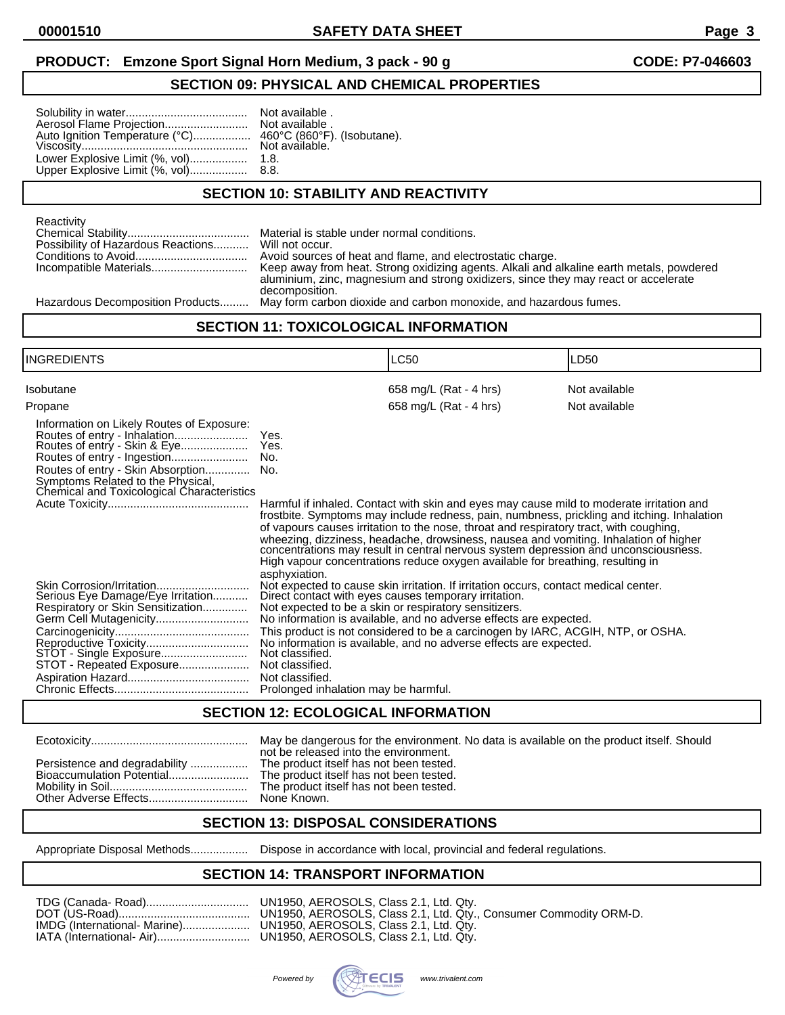### **PRODUCT:** Emzone Sport Signal Horn Medium, 3 pack - 90 g **CODE: P7-046603**

### **SECTION 09: PHYSICAL AND CHEMICAL PROPERTIES**

|--|--|

available.

### **SECTION 10: STABILITY AND REACTIVITY**

| Reactivity                                         |                                                                                          |
|----------------------------------------------------|------------------------------------------------------------------------------------------|
|                                                    |                                                                                          |
| Possibility of Hazardous Reactions Will not occur. |                                                                                          |
|                                                    | Avoid sources of heat and flame, and electrostatic charge.                               |
| Incompatible Materials                             | Keep away from heat. Strong oxidizing agents. Alkali and alkaline earth metals, powdered |
|                                                    | aluminium, zinc, magnesium and strong oxidizers, since they may react or accelerate      |
|                                                    | decomposition.                                                                           |
|                                                    |                                                                                          |

Hazardous Decomposition Products......... May form carbon dioxide and carbon monoxide, and hazardous fumes.

### **SECTION 11: TOXICOLOGICAL INFORMATION**

| INGREDIENTS                                                                                                                                                                                                                                  |                                                                                               | LC50                                                                                                                                                                                                                                                                                                                                                                                                                                                                                                                                                                     | LD50          |
|----------------------------------------------------------------------------------------------------------------------------------------------------------------------------------------------------------------------------------------------|-----------------------------------------------------------------------------------------------|--------------------------------------------------------------------------------------------------------------------------------------------------------------------------------------------------------------------------------------------------------------------------------------------------------------------------------------------------------------------------------------------------------------------------------------------------------------------------------------------------------------------------------------------------------------------------|---------------|
| Isobutane                                                                                                                                                                                                                                    |                                                                                               | 658 mg/L (Rat - 4 hrs)                                                                                                                                                                                                                                                                                                                                                                                                                                                                                                                                                   | Not available |
| Propane<br>Information on Likely Routes of Exposure:<br>Routes of entry - Inhalation<br>Routes of entry - Skin & Eye<br>Routes of entry - Skin Absorption<br>Symptoms Related to the Physical,<br>Chemical and Toxicological Characteristics | Yes.<br>Yes.<br>No.<br>No.<br>asphyxiation.                                                   | 658 mg/L (Rat - 4 hrs)<br>Harmful if inhaled. Contact with skin and eyes may cause mild to moderate irritation and<br>frostbite. Symptoms may include redness, pain, numbness, prickling and itching. Inhalation<br>of vapours causes irritation to the nose, throat and respiratory tract, with coughing,<br>wheezing, dizziness, headache, drowsiness, nausea and vomiting. Inhalation of higher concentrations may result in central nervous system depression and unconsciousness.<br>High vapour concentrations reduce oxygen available for breathing, resulting in | Not available |
| Skin Corrosion/Irritation<br>Serious Eye Damage/Eye Irritation<br>Respiratory or Skin Sensitization<br>Germ Cell Mutagenicity<br>Reproductive Toxicity<br>STOT - Single Exposure<br>STOT - Repeated Exposure                                 | Not classified.<br>Not classified.<br>Not classified.<br>Prolonged inhalation may be harmful. | Not expected to cause skin irritation. If irritation occurs, contact medical center.<br>Direct contact with eyes causes temporary irritation.<br>Not expected to be a skin or respiratory sensitizers.<br>No information is available, and no adverse effects are expected.<br>This product is not considered to be a carcinogen by IARC, ACGIH, NTP, or OSHA.<br>No information is available, and no adverse effects are expected.                                                                                                                                      |               |

### **SECTION 12: ECOLOGICAL INFORMATION**

|  | May be dangerous for the environment. No data is available on the product itself. Should<br>not be released into the environment. |
|--|-----------------------------------------------------------------------------------------------------------------------------------|
|  |                                                                                                                                   |

### **SECTION 13: DISPOSAL CONSIDERATIONS**

Appropriate Disposal Methods.................. Dispose in accordance with local, provincial and federal regulations.

### **SECTION 14: TRANSPORT INFORMATION**

| TDG (Canada- Road)    UN1950, AEROSOLS, Class 2.1, Ltd. Qtv.        |
|---------------------------------------------------------------------|
|                                                                     |
| IMDG (International- Marine) UN1950, AEROSOLS, Class 2.1, Ltd. Qtv. |
|                                                                     |